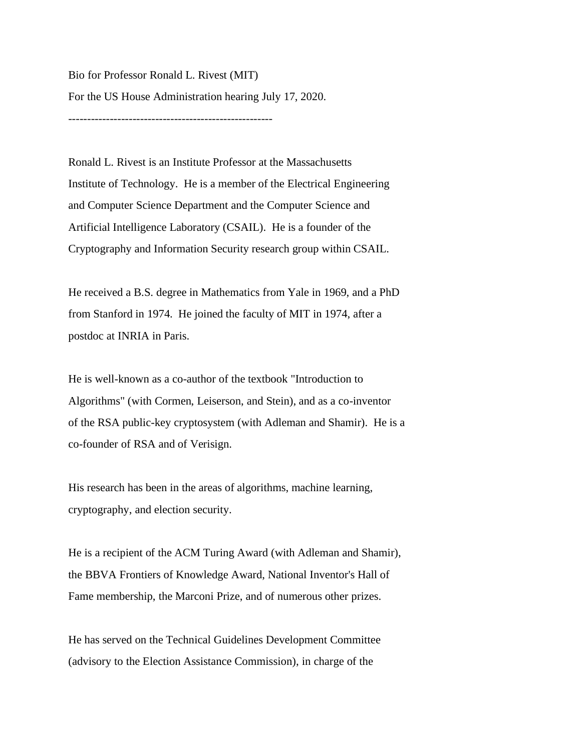Bio for Professor Ronald L. Rivest (MIT) For the US House Administration hearing July 17, 2020.

------------------------------------------------------

Ronald L. Rivest is an Institute Professor at the Massachusetts Institute of Technology. He is a member of the Electrical Engineering and Computer Science Department and the Computer Science and Artificial Intelligence Laboratory (CSAIL). He is a founder of the Cryptography and Information Security research group within CSAIL.

He received a B.S. degree in Mathematics from Yale in 1969, and a PhD from Stanford in 1974. He joined the faculty of MIT in 1974, after a postdoc at INRIA in Paris.

He is well-known as a co-author of the textbook "Introduction to Algorithms" (with Cormen, Leiserson, and Stein), and as a co-inventor of the RSA public-key cryptosystem (with Adleman and Shamir). He is a co-founder of RSA and of Verisign.

His research has been in the areas of algorithms, machine learning, cryptography, and election security.

He is a recipient of the ACM Turing Award (with Adleman and Shamir), the BBVA Frontiers of Knowledge Award, National Inventor's Hall of Fame membership, the Marconi Prize, and of numerous other prizes.

He has served on the Technical Guidelines Development Committee (advisory to the Election Assistance Commission), in charge of the